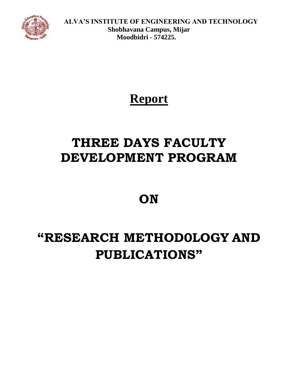

 **ALVA'S INSTITUTE OF ENGINEERING AND TECHNOLOGY Shobhavana Campus, Mijar Moodbidri - 574225.**

### **Report**

## **THREE DAYS FACULTY DEVELOPMENT PROGRAM**

### **ON**

# **"RESEARCH METHOD0LOGY AND PUBLICATIONS"**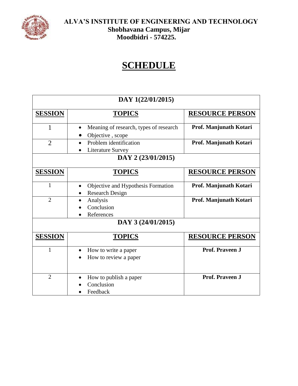

### **SCHEDULE**

| DAY 1(22/01/2015)  |                                                              |                        |
|--------------------|--------------------------------------------------------------|------------------------|
| <b>SESSION</b>     | <b>TOPICS</b>                                                | <b>RESOURCE PERSON</b> |
| 1                  | Meaning of research, types of research<br>Objective, scope   | Prof. Manjunath Kotari |
| $\overline{2}$     | Problem identification<br>Literature Survey                  | Prof. Manjunath Kotari |
| DAY 2 (23/01/2015) |                                                              |                        |
| <b>SESSION</b>     | <b>TOPICS</b>                                                | <b>RESOURCE PERSON</b> |
| $\mathbf{1}$       | Objective and Hypothesis Formation<br><b>Research Design</b> | Prof. Manjunath Kotari |
| $\overline{2}$     | Analysis<br>Conclusion<br>References                         | Prof. Manjunath Kotari |
| DAY 3 (24/01/2015) |                                                              |                        |
| <b>SESSION</b>     | <b>TOPICS</b>                                                | <b>RESOURCE PERSON</b> |
| $\mathbf{1}$       | How to write a paper<br>How to review a paper                | Prof. Praveen J        |
| $\overline{2}$     | How to publish a paper<br>Conclusion<br>Feedback             | Prof. Praveen J        |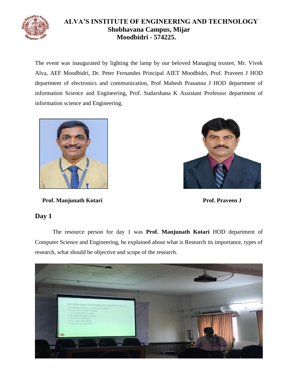

#### **ALVA'S INSTITUTE OF ENGINEERING AND TECHNOLOGY Shobhavana Campus, Mijar Moodbidri - 574225.**

The event was inaugurated by lighting the lamp by our beloved Managing trustee, Mr. Vivek Alva, AEF Moodbidri, Dr. Peter Fernandes Principal AIET Moodbidri, Prof. Praveen J HOD department of electronics and communication, Prof Mahesh Prasanna J HOD department of information Science and Engineering, Prof. Sudarshana K Assistant Professor department of information science and Engineering.



**Prof. Manjunath Kotari Prof. Praveen J** 



#### **Day 1**

The resource person for day 1 was **Prof. Manjunath Kotari** HOD department of Computer Science and Engineering, he explained about what is Research its importance, types of research, what should be objective and scope of the research.